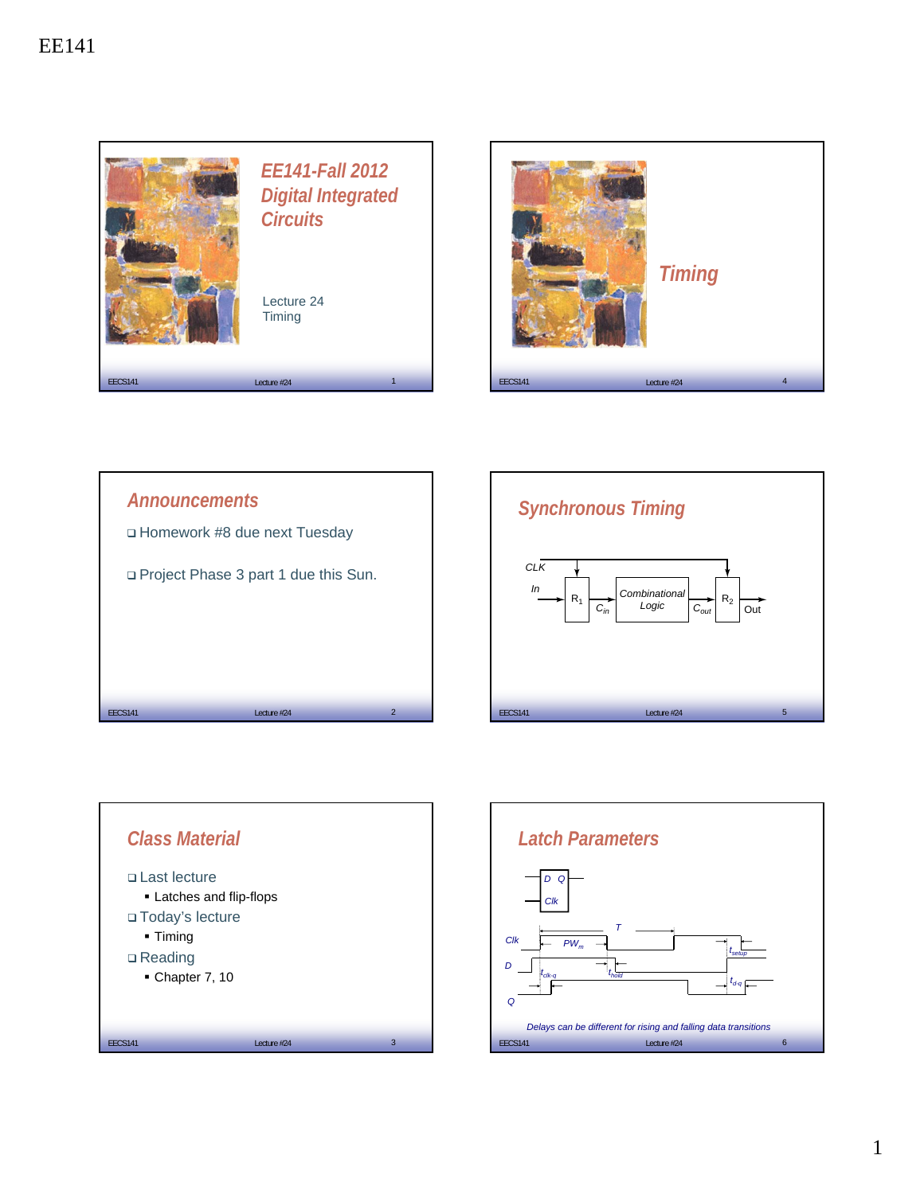









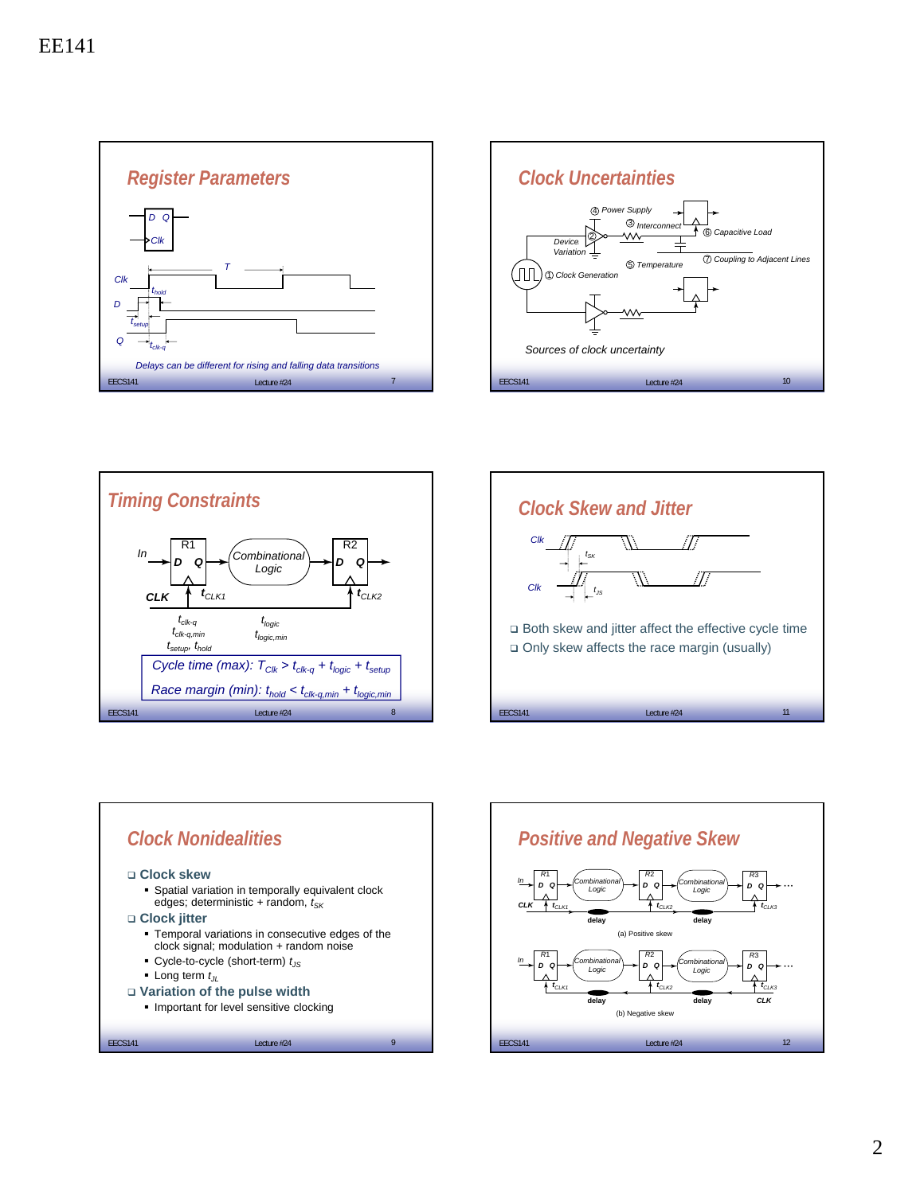









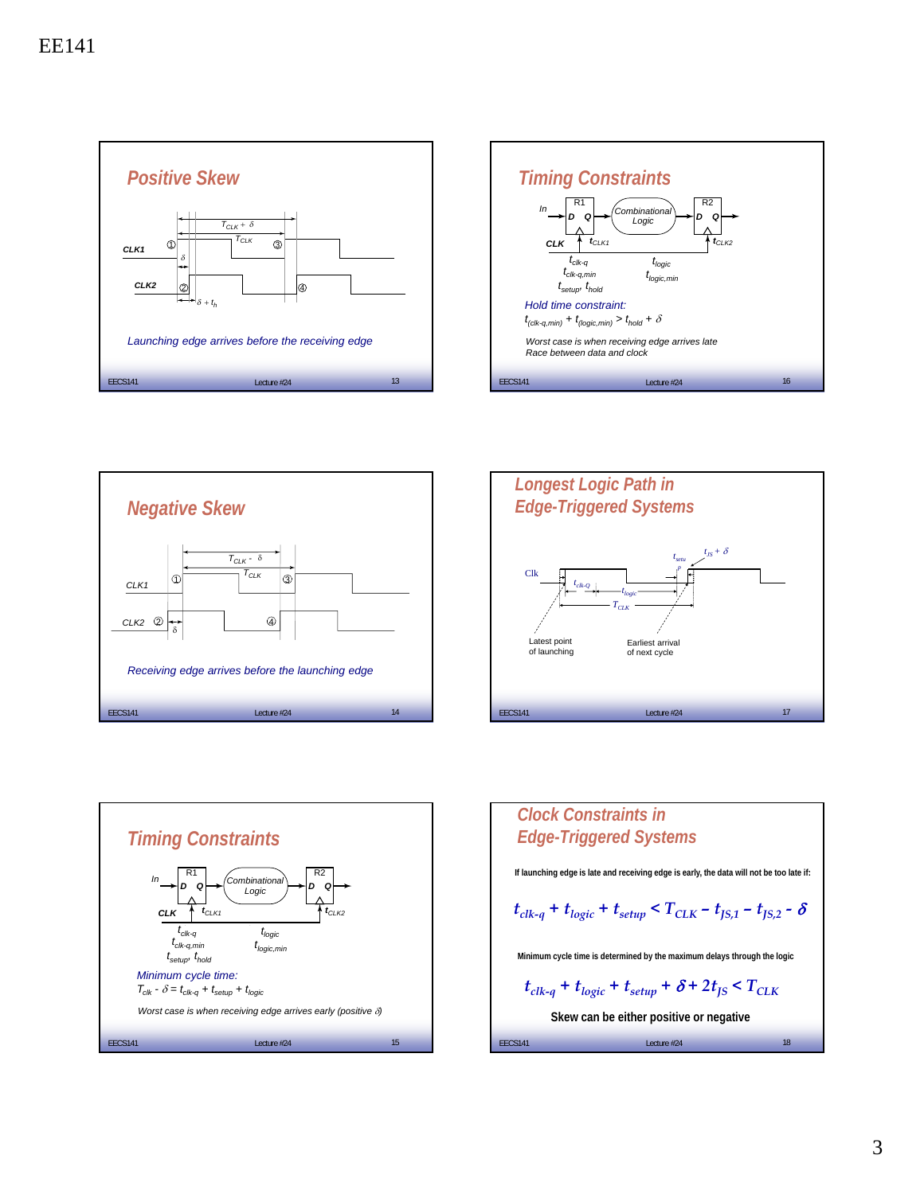









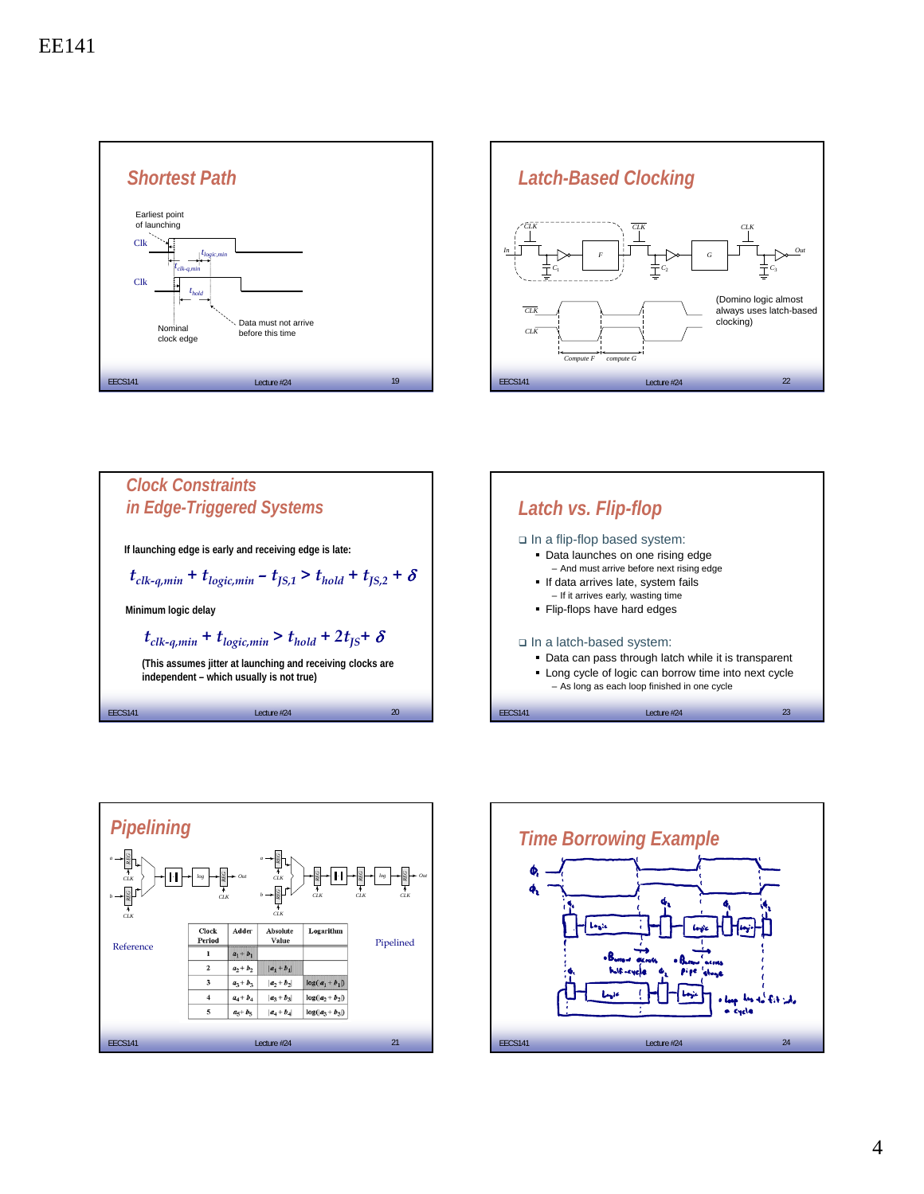